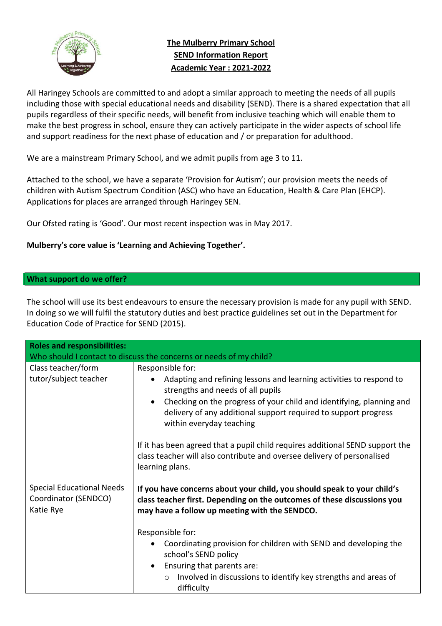

# **The Mulberry Primary School SEND Information Report Academic Year : 2021-2022**

All Haringey Schools are committed to and adopt a similar approach to meeting the needs of all pupils including those with special educational needs and disability (SEND). There is a shared expectation that all pupils regardless of their specific needs, will benefit from inclusive teaching which will enable them to make the best progress in school, ensure they can actively participate in the wider aspects of school life and support readiness for the next phase of education and / or preparation for adulthood.

We are a mainstream Primary School, and we admit pupils from age 3 to 11.

Attached to the school, we have a separate 'Provision for Autism'; our provision meets the needs of children with Autism Spectrum Condition (ASC) who have an Education, Health & Care Plan (EHCP). Applications for places are arranged through Haringey SEN.

Our Ofsted rating is 'Good'. Our most recent inspection was in May 2017.

### **Mulberry's core value is 'Learning and Achieving Together'.**

#### **What support do we offer?**

The school will use its best endeavours to ensure the necessary provision is made for any pupil with SEND. In doing so we will fulfil the statutory duties and best practice guidelines set out in the Department for Education Code of Practice for SEND (2015).

| <b>Roles and responsibilities:</b>                                    |                                                                                                                                                                                                                                                                                                                               |  |  |
|-----------------------------------------------------------------------|-------------------------------------------------------------------------------------------------------------------------------------------------------------------------------------------------------------------------------------------------------------------------------------------------------------------------------|--|--|
| Who should I contact to discuss the concerns or needs of my child?    |                                                                                                                                                                                                                                                                                                                               |  |  |
| Class teacher/form<br>tutor/subject teacher                           | Responsible for:<br>Adapting and refining lessons and learning activities to respond to<br>$\bullet$<br>strengths and needs of all pupils<br>Checking on the progress of your child and identifying, planning and<br>$\bullet$<br>delivery of any additional support required to support progress<br>within everyday teaching |  |  |
|                                                                       | If it has been agreed that a pupil child requires additional SEND support the<br>class teacher will also contribute and oversee delivery of personalised<br>learning plans.                                                                                                                                                   |  |  |
| <b>Special Educational Needs</b><br>Coordinator (SENDCO)<br>Katie Rye | If you have concerns about your child, you should speak to your child's<br>class teacher first. Depending on the outcomes of these discussions you<br>may have a follow up meeting with the SENDCO.                                                                                                                           |  |  |
|                                                                       | Responsible for:                                                                                                                                                                                                                                                                                                              |  |  |
|                                                                       | Coordinating provision for children with SEND and developing the<br>school's SEND policy<br>Ensuring that parents are:<br>$\bullet$<br>Involved in discussions to identify key strengths and areas of<br>$\circ$<br>difficulty                                                                                                |  |  |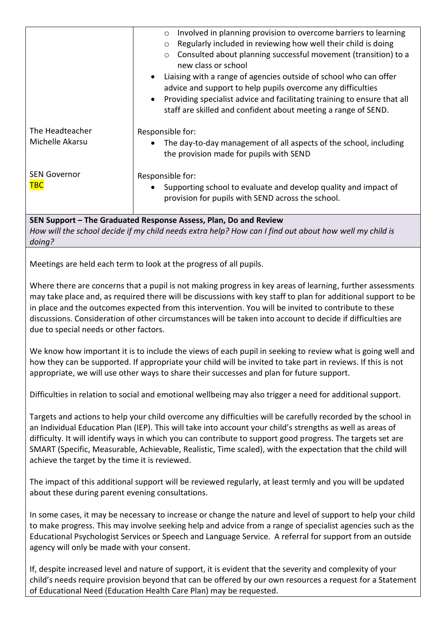|                                                                                                                                                                                      | Involved in planning provision to overcome barriers to learning<br>$\circ$<br>Regularly included in reviewing how well their child is doing<br>$\circ$<br>o Consulted about planning successful movement (transition) to a<br>new class or school<br>Liaising with a range of agencies outside of school who can offer<br>advice and support to help pupils overcome any difficulties<br>Providing specialist advice and facilitating training to ensure that all<br>staff are skilled and confident about meeting a range of SEND. |  |
|--------------------------------------------------------------------------------------------------------------------------------------------------------------------------------------|-------------------------------------------------------------------------------------------------------------------------------------------------------------------------------------------------------------------------------------------------------------------------------------------------------------------------------------------------------------------------------------------------------------------------------------------------------------------------------------------------------------------------------------|--|
| The Headteacher                                                                                                                                                                      | Responsible for:                                                                                                                                                                                                                                                                                                                                                                                                                                                                                                                    |  |
| Michelle Akarsu                                                                                                                                                                      | The day-to-day management of all aspects of the school, including<br>the provision made for pupils with SEND                                                                                                                                                                                                                                                                                                                                                                                                                        |  |
| <b>SEN Governor</b>                                                                                                                                                                  | Responsible for:                                                                                                                                                                                                                                                                                                                                                                                                                                                                                                                    |  |
| <b>TBC</b>                                                                                                                                                                           | Supporting school to evaluate and develop quality and impact of<br>provision for pupils with SEND across the school.                                                                                                                                                                                                                                                                                                                                                                                                                |  |
| SEN Support - The Graduated Response Assess, Plan, Do and Review<br>How will the school decide if my child needs extra help? How can I find out about how well my child is<br>doing? |                                                                                                                                                                                                                                                                                                                                                                                                                                                                                                                                     |  |
|                                                                                                                                                                                      | Meetings are held each term to look at the progress of all pupils.                                                                                                                                                                                                                                                                                                                                                                                                                                                                  |  |
| due to special needs or other factors.                                                                                                                                               | Where there are concerns that a pupil is not making progress in key areas of learning, further assessments<br>may take place and, as required there will be discussions with key staff to plan for additional support to be<br>in place and the outcomes expected from this intervention. You will be invited to contribute to these<br>discussions. Consideration of other circumstances will be taken into account to decide if difficulties are                                                                                  |  |
|                                                                                                                                                                                      | We know how important it is to include the views of each pupil in seeking to review what is going well and<br>how they can be supported. If appropriate your child will be invited to take part in reviews. If this is not<br>appropriate, we will use other ways to share their successes and plan for future support.                                                                                                                                                                                                             |  |
|                                                                                                                                                                                      | Difficulties in relation to social and emotional wellbeing may also trigger a need for additional support.                                                                                                                                                                                                                                                                                                                                                                                                                          |  |
| achieve the target by the time it is reviewed.                                                                                                                                       | Targets and actions to help your child overcome any difficulties will be carefully recorded by the school in<br>an Individual Education Plan (IEP). This will take into account your child's strengths as well as areas of<br>difficulty. It will identify ways in which you can contribute to support good progress. The targets set are<br>SMART (Specific, Measurable, Achievable, Realistic, Time scaled), with the expectation that the child will                                                                             |  |

The impact of this additional support will be reviewed regularly, at least termly and you will be updated about these during parent evening consultations.

In some cases, it may be necessary to increase or change the nature and level of support to help your child to make progress. This may involve seeking help and advice from a range of specialist agencies such as the Educational Psychologist Services or Speech and Language Service. A referral for support from an outside agency will only be made with your consent.

If, despite increased level and nature of support, it is evident that the severity and complexity of your child's needs require provision beyond that can be offered by our own resources a request for a Statement of Educational Need (Education Health Care Plan) may be requested.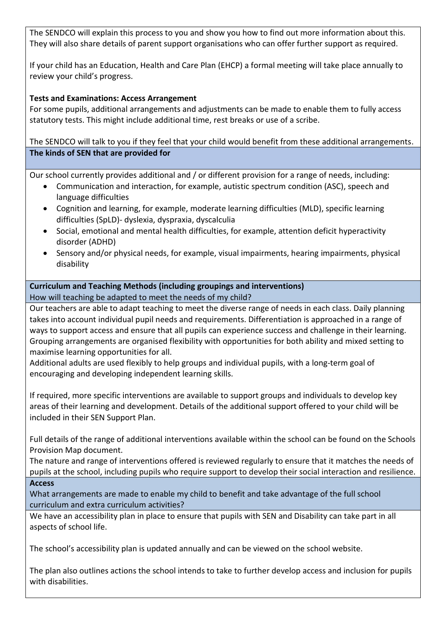The SENDCO will explain this process to you and show you how to find out more information about this. They will also share details of parent support organisations who can offer further support as required.

If your child has an Education, Health and Care Plan (EHCP) a formal meeting will take place annually to review your child's progress.

## **Tests and Examinations: Access Arrangement**

For some pupils, additional arrangements and adjustments can be made to enable them to fully access statutory tests. This might include additional time, rest breaks or use of a scribe.

The SENDCO will talk to you if they feel that your child would benefit from these additional arrangements. **The kinds of SEN that are provided for**

Our school currently provides additional and / or different provision for a range of needs, including:

- Communication and interaction, for example, autistic spectrum condition (ASC), speech and language difficulties
- Cognition and learning, for example, moderate learning difficulties (MLD), specific learning difficulties (SpLD)- dyslexia, dyspraxia, dyscalculia
- Social, emotional and mental health difficulties, for example, attention deficit hyperactivity disorder (ADHD)
- Sensory and/or physical needs, for example, visual impairments, hearing impairments, physical disability

#### **Curriculum and Teaching Methods (including groupings and interventions)** How will teaching be adapted to meet the needs of my child?

Our teachers are able to adapt teaching to meet the diverse range of needs in each class. Daily planning takes into account individual pupil needs and requirements. Differentiation is approached in a range of ways to support access and ensure that all pupils can experience success and challenge in their learning. Grouping arrangements are organised flexibility with opportunities for both ability and mixed setting to maximise learning opportunities for all.

Additional adults are used flexibly to help groups and individual pupils, with a long-term goal of encouraging and developing independent learning skills.

If required, more specific interventions are available to support groups and individuals to develop key areas of their learning and development. Details of the additional support offered to your child will be included in their SEN Support Plan.

Full details of the range of additional interventions available within the school can be found on the Schools Provision Map document.

The nature and range of interventions offered is reviewed regularly to ensure that it matches the needs of pupils at the school, including pupils who require support to develop their social interaction and resilience. **Access** 

What arrangements are made to enable my child to benefit and take advantage of the full school curriculum and extra curriculum activities?

We have an accessibility plan in place to ensure that pupils with SEN and Disability can take part in all aspects of school life.

The school's accessibility plan is updated annually and can be viewed on the school website.

The plan also outlines actions the school intends to take to further develop access and inclusion for pupils with disabilities.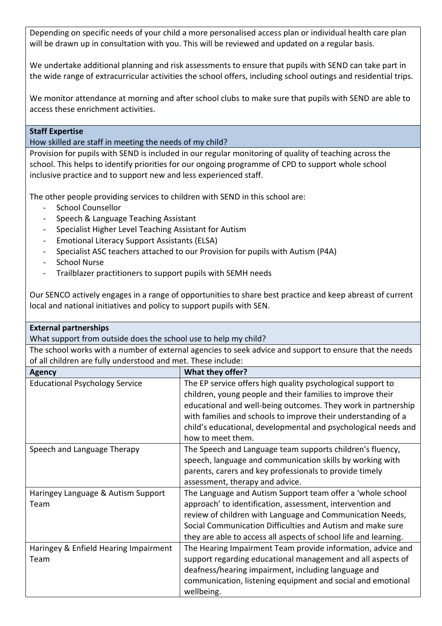Depending on specific needs of your child a more personalised access plan or individual health care plan will be drawn up in consultation with you. This will be reviewed and updated on a regular basis.

We undertake additional planning and risk assessments to ensure that pupils with SEND can take part in the wide range of extracurricular activities the school offers, including school outings and residential trips.

We monitor attendance at morning and after school clubs to make sure that pupils with SEND are able to access these enrichment activities.

#### **Staff Expertise**

How skilled are staff in meeting the needs of my child?

Provision for pupils with SEND is included in our regular monitoring of quality of teaching across the school. This helps to identify priorities for our ongoing programme of CPD to support whole school inclusive practice and to support new and less experienced staff.

The other people providing services to children with SEND in this school are:

- School Counsellor
- Speech & Language Teaching Assistant
- Specialist Higher Level Teaching Assistant for Autism
- Emotional Literacy Support Assistants (ELSA)
- Specialist ASC teachers attached to our Provision for pupils with Autism (P4A)
- School Nurse
- Trailblazer practitioners to support pupils with SEMH needs

Our SENCO actively engages in a range of opportunities to share best practice and keep abreast of current local and national initiatives and policy to support pupils with SEN.

| <b>External partnerships</b>                                                                            |                                                                  |  |  |
|---------------------------------------------------------------------------------------------------------|------------------------------------------------------------------|--|--|
| What support from outside does the school use to help my child?                                         |                                                                  |  |  |
| The school works with a number of external agencies to seek advice and support to ensure that the needs |                                                                  |  |  |
| of all children are fully understood and met. These include:                                            |                                                                  |  |  |
| <b>Agency</b>                                                                                           | What they offer?                                                 |  |  |
| <b>Educational Psychology Service</b>                                                                   | The EP service offers high quality psychological support to      |  |  |
|                                                                                                         | children, young people and their families to improve their       |  |  |
|                                                                                                         | educational and well-being outcomes. They work in partnership    |  |  |
|                                                                                                         | with families and schools to improve their understanding of a    |  |  |
|                                                                                                         | child's educational, developmental and psychological needs and   |  |  |
|                                                                                                         | how to meet them.                                                |  |  |
| Speech and Language Therapy                                                                             | The Speech and Language team supports children's fluency,        |  |  |
|                                                                                                         | speech, language and communication skills by working with        |  |  |
|                                                                                                         | parents, carers and key professionals to provide timely          |  |  |
|                                                                                                         | assessment, therapy and advice.                                  |  |  |
| Haringey Language & Autism Support                                                                      | The Language and Autism Support team offer a 'whole school       |  |  |
| Team                                                                                                    | approach' to identification, assessment, intervention and        |  |  |
|                                                                                                         | review of children with Language and Communication Needs,        |  |  |
|                                                                                                         | Social Communication Difficulties and Autism and make sure       |  |  |
|                                                                                                         | they are able to access all aspects of school life and learning. |  |  |
| Haringey & Enfield Hearing Impairment                                                                   | The Hearing Impairment Team provide information, advice and      |  |  |
| Team                                                                                                    | support regarding educational management and all aspects of      |  |  |
|                                                                                                         | deafness/hearing impairment, including language and              |  |  |
|                                                                                                         | communication, listening equipment and social and emotional      |  |  |
|                                                                                                         | wellbeing.                                                       |  |  |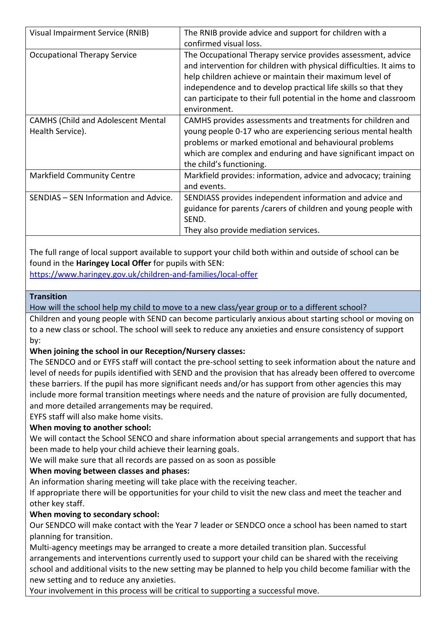| Visual Impairment Service (RNIB)          | The RNIB provide advice and support for children with a              |
|-------------------------------------------|----------------------------------------------------------------------|
|                                           | confirmed visual loss.                                               |
| <b>Occupational Therapy Service</b>       | The Occupational Therapy service provides assessment, advice         |
|                                           | and intervention for children with physical difficulties. It aims to |
|                                           | help children achieve or maintain their maximum level of             |
|                                           | independence and to develop practical life skills so that they       |
|                                           | can participate to their full potential in the home and classroom    |
|                                           | environment.                                                         |
| <b>CAMHS (Child and Adolescent Mental</b> | CAMHS provides assessments and treatments for children and           |
| Health Service).                          | young people 0-17 who are experiencing serious mental health         |
|                                           | problems or marked emotional and behavioural problems                |
|                                           | which are complex and enduring and have significant impact on        |
|                                           | the child's functioning.                                             |
| <b>Markfield Community Centre</b>         | Markfield provides: information, advice and advocacy; training       |
|                                           | and events.                                                          |
| SENDIAS - SEN Information and Advice.     | SENDIASS provides independent information and advice and             |
|                                           | guidance for parents / carers of children and young people with      |
|                                           | SEND.                                                                |
|                                           | They also provide mediation services.                                |

The full range of local support available to support your child both within and outside of school can be found in the **Haringey Local Offer** for pupils with SEN:

<https://www.haringey.gov.uk/children-and-families/local-offer>

### **Transition**

How will the school help my child to move to a new class/year group or to a different school?

Children and young people with SEND can become particularly anxious about starting school or moving on to a new class or school. The school will seek to reduce any anxieties and ensure consistency of support by:

## **When joining the school in our Reception/Nursery classes:**

The SENDCO and or EYFS staff will contact the pre-school setting to seek information about the nature and level of needs for pupils identified with SEND and the provision that has already been offered to overcome these barriers. If the pupil has more significant needs and/or has support from other agencies this may include more formal transition meetings where needs and the nature of provision are fully documented, and more detailed arrangements may be required.

EYFS staff will also make home visits.

## **When moving to another school:**

We will contact the School SENCO and share information about special arrangements and support that has been made to help your child achieve their learning goals.

We will make sure that all records are passed on as soon as possible

## **When moving between classes and phases:**

An information sharing meeting will take place with the receiving teacher.

If appropriate there will be opportunities for your child to visit the new class and meet the teacher and other key staff.

## **When moving to secondary school:**

Our SENDCO will make contact with the Year 7 leader or SENDCO once a school has been named to start planning for transition.

Multi-agency meetings may be arranged to create a more detailed transition plan. Successful arrangements and interventions currently used to support your child can be shared with the receiving school and additional visits to the new setting may be planned to help you child become familiar with the new setting and to reduce any anxieties.

Your involvement in this process will be critical to supporting a successful move.